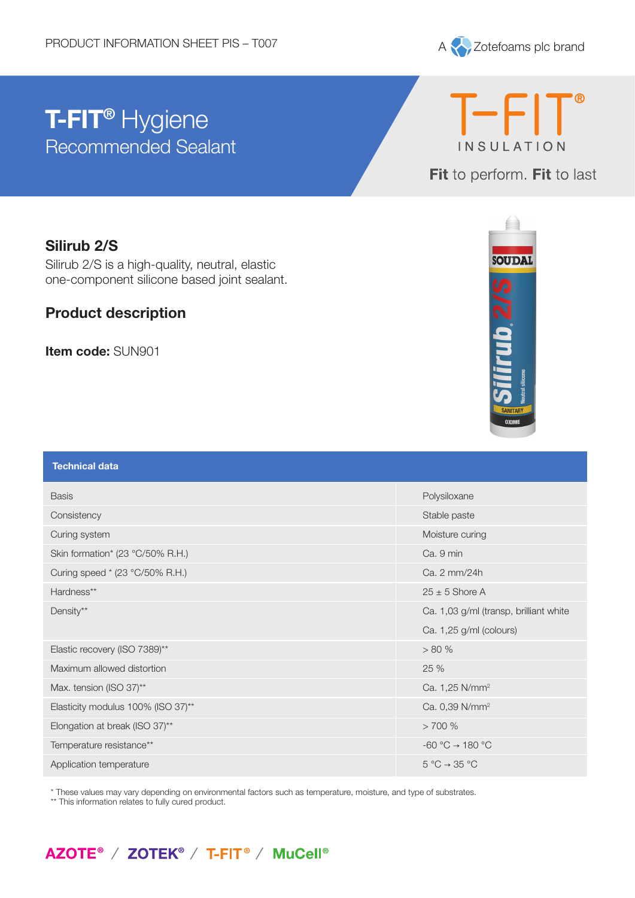

# **T-FIT®** Hygiene Recommended Sealant



Fit to perform. Fit to last

## **Silirub 2/S**

Silirub 2/S is a high-quality, neutral, elastic one-component silicone based joint sealant.

### **Product description**

**Item code:** SUN901



| <b>Technical data</b>              |                                        |
|------------------------------------|----------------------------------------|
| <b>Basis</b>                       | Polysiloxane                           |
| Consistency                        | Stable paste                           |
| Curing system                      | Moisture curing                        |
| Skin formation* (23 °C/50% R.H.)   | Ca. 9 min                              |
| Curing speed * (23 °C/50% R.H.)    | Ca. 2 mm/24h                           |
| Hardness**                         | $25 \pm 5$ Shore A                     |
| Density**                          | Ca. 1,03 g/ml (transp, brilliant white |
|                                    | Ca. 1,25 g/ml (colours)                |
| Elastic recovery (ISO 7389)**      | > 80%                                  |
| Maximum allowed distortion         | 25 %                                   |
| Max. tension (ISO 37)**            | Ca. 1,25 N/mm <sup>2</sup>             |
| Elasticity modulus 100% (ISO 37)** | Ca. 0,39 N/mm <sup>2</sup>             |
| Elongation at break (ISO 37)**     | >700%                                  |
| Temperature resistance**           | -60 °C $\rightarrow$ 180 °C            |
| Application temperature            | $5^{\circ}C \rightarrow 35^{\circ}C$   |

\* These values may vary depending on environmental factors such as temperature, moisture, and type of substrates.

\*\* This information relates to fully cured product.

## AZOTE<sup>®</sup> / ZOTEK<sup>®</sup> / T-FIT<sup>®</sup> / MuCell<sup>®</sup>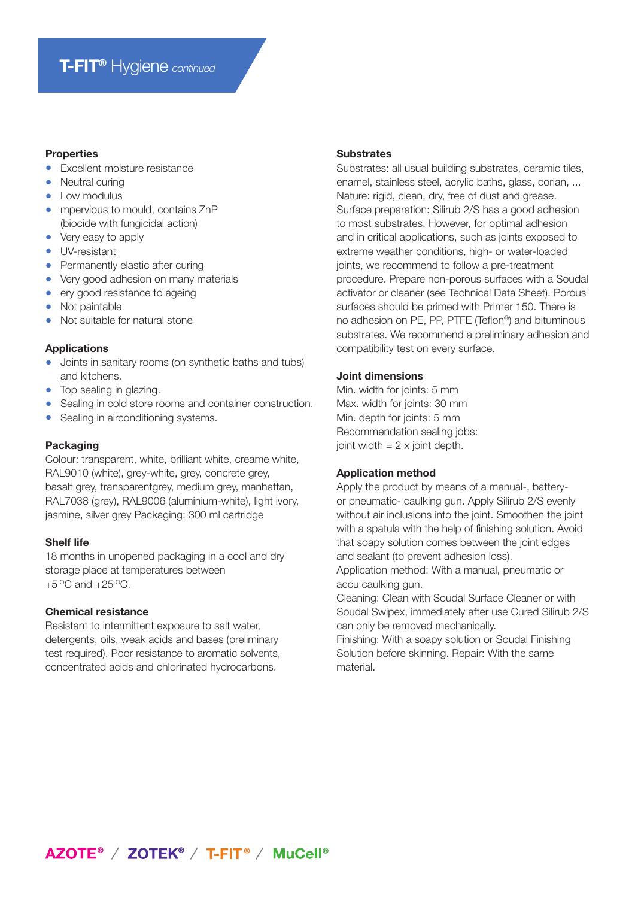#### **Properties**

- **•** Excellent moisture resistance
- **•** Neutral curing
- **•** Low modulus
- **•** mpervious to mould, contains ZnP (biocide with fungicidal action)
- **•** Very easy to apply
- **•** UV-resistant
- **•** Permanently elastic after curing
- **•** Very good adhesion on many materials
- **•** ery good resistance to ageing
- **•** Not paintable
- **•** Not suitable for natural stone

#### **Applications**

- **•** Joints in sanitary rooms (on synthetic baths and tubs) and kitchens.
- **•** Top sealing in glazing.
- **•** Sealing in cold store rooms and container construction.
- **•** Sealing in airconditioning systems.

#### **Packaging**

Colour: transparent, white, brilliant white, creame white, RAL9010 (white), grey-white, grey, concrete grey, basalt grey, transparentgrey, medium grey, manhattan, RAL7038 (grey), RAL9006 (aluminium-white), light ivory, jasmine, silver grey Packaging: 300 ml cartridge

#### **Shelf life**

18 months in unopened packaging in a cool and dry storage place at temperatures between  $+5$  °C and  $+25$  °C.

#### **Chemical resistance**

Resistant to intermittent exposure to salt water, detergents, oils, weak acids and bases (preliminary test required). Poor resistance to aromatic solvents, concentrated acids and chlorinated hydrocarbons.

#### **Substrates**

Substrates: all usual building substrates, ceramic tiles, enamel, stainless steel, acrylic baths, glass, corian, ... Nature: rigid, clean, dry, free of dust and grease. Surface preparation: Silirub 2/S has a good adhesion to most substrates. However, for optimal adhesion and in critical applications, such as joints exposed to extreme weather conditions, high- or water-loaded joints, we recommend to follow a pre-treatment procedure. Prepare non-porous surfaces with a Soudal activator or cleaner (see Technical Data Sheet). Porous surfaces should be primed with Primer 150. There is no adhesion on PE, PP, PTFE (Teflon®) and bituminous substrates. We recommend a preliminary adhesion and compatibility test on every surface.

#### **Joint dimensions**

Min. width for joints: 5 mm Max. width for joints: 30 mm Min. depth for joints: 5 mm Recommendation sealing jobs: joint width  $= 2 \times$  joint depth.

#### **Application method**

Apply the product by means of a manual-, batteryor pneumatic- caulking gun. Apply Silirub 2/S evenly without air inclusions into the joint. Smoothen the joint with a spatula with the help of finishing solution. Avoid that soapy solution comes between the joint edges and sealant (to prevent adhesion loss).

Application method: With a manual, pneumatic or accu caulking gun.

Cleaning: Clean with Soudal Surface Cleaner or with Soudal Swipex, immediately after use Cured Silirub 2/S can only be removed mechanically.

Finishing: With a soapy solution or Soudal Finishing Solution before skinning. Repair: With the same material.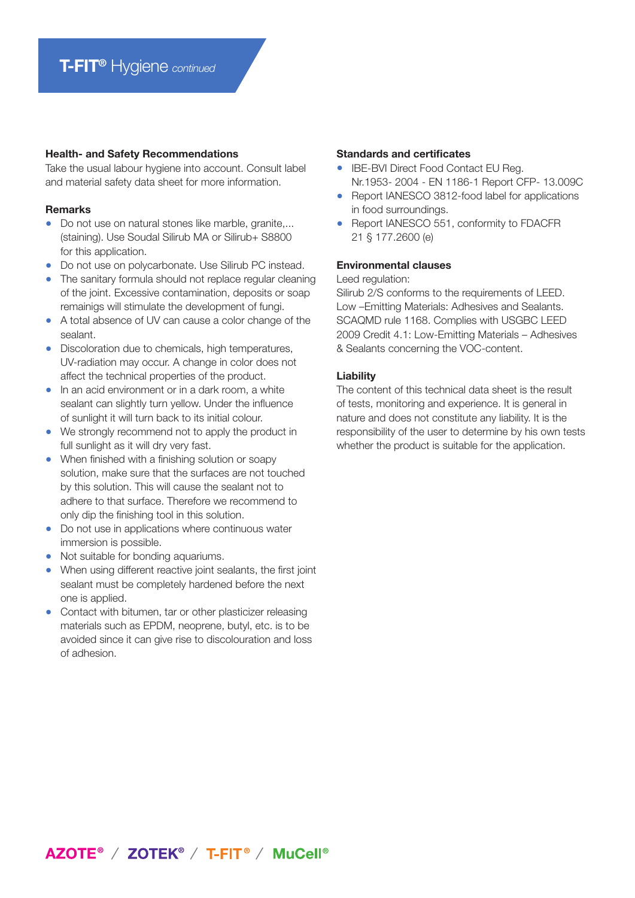#### **Health- and Safety Recommendations**

Take the usual labour hygiene into account. Consult label and material safety data sheet for more information.

#### **Remarks**

- **•** Do not use on natural stones like marble, granite,... (staining). Use Soudal Silirub MA or Silirub+ S8800 for this application.
- **•** Do not use on polycarbonate. Use Silirub PC instead.
- **•** The sanitary formula should not replace regular cleaning of the joint. Excessive contamination, deposits or soap remainigs will stimulate the development of fungi.
- **•** A total absence of UV can cause a color change of the sealant.
- **•** Discoloration due to chemicals, high temperatures, UV-radiation may occur. A change in color does not affect the technical properties of the product.
- **•** In an acid environment or in a dark room, a white sealant can slightly turn yellow. Under the influence of sunlight it will turn back to its initial colour.
- **•** We strongly recommend not to apply the product in full sunlight as it will dry very fast.
- **•** When finished with a finishing solution or soapy solution, make sure that the surfaces are not touched by this solution. This will cause the sealant not to adhere to that surface. Therefore we recommend to only dip the finishing tool in this solution.
- **•** Do not use in applications where continuous water immersion is possible.
- **•** Not suitable for bonding aquariums.
- **•** When using different reactive joint sealants, the first joint sealant must be completely hardened before the next one is applied.
- **•** Contact with bitumen, tar or other plasticizer releasing materials such as EPDM, neoprene, butyl, etc. is to be avoided since it can give rise to discolouration and loss of adhesion.

#### **Standards and certificates**

- **•** IBE-BVI Direct Food Contact EU Reg. Nr.1953- 2004 - EN 1186-1 Report CFP- 13.009C
- **•** Report IANESCO 3812-food label for applications in food surroundings.
- **•** Report IANESCO 551, conformity to FDACFR 21 § 177.2600 (e)

#### **Environmental clauses**

#### Leed regulation:

Silirub 2/S conforms to the requirements of LEED. Low –Emitting Materials: Adhesives and Sealants. SCAQMD rule 1168. Complies with USGBC LEED 2009 Credit 4.1: Low-Emitting Materials – Adhesives & Sealants concerning the VOC-content.

#### **Liability**

The content of this technical data sheet is the result of tests, monitoring and experience. It is general in nature and does not constitute any liability. It is the responsibility of the user to determine by his own tests whether the product is suitable for the application.

## AZOTE<sup>®</sup> / ZOTEK<sup>®</sup> / T-FIT<sup>®</sup> / MuCell<sup>®</sup>